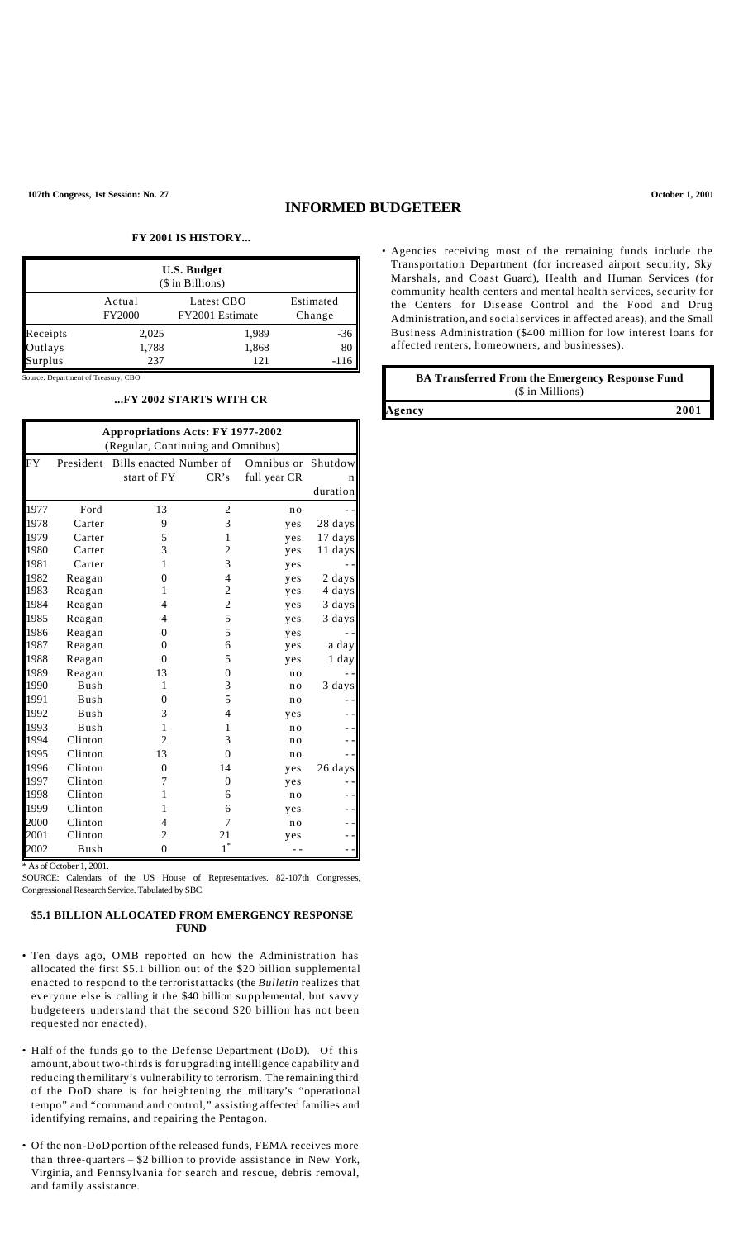# **INFORMED BUDGETEER**

## **FY 2001 IS HISTORY...**

| <b>U.S. Budget</b><br>(\$ in Billions) |                         |                               |                     |  |  |  |
|----------------------------------------|-------------------------|-------------------------------|---------------------|--|--|--|
|                                        | Actual<br><b>FY2000</b> | Latest CBO<br>FY2001 Estimate | Estimated<br>Change |  |  |  |
| Receipts                               | 2,025                   | 1,989                         | -36                 |  |  |  |
| Outlays                                | 1,788                   | 1,868                         |                     |  |  |  |
| Surplus                                | 237                     | 121                           |                     |  |  |  |

Source: Department of Treasury, CBO

#### **...FY 2002 STARTS WITH CR**

| <b>Appropriations Acts: FY 1977-2002</b><br>(Regular, Continuing and Omnibus) |             |                         |                |                |          |  |  |  |
|-------------------------------------------------------------------------------|-------------|-------------------------|----------------|----------------|----------|--|--|--|
| FY                                                                            | President   | Bills enacted Number of |                | Omnibus or     | Shutdow  |  |  |  |
|                                                                               |             | start of FY             | CR's           | full year CR   |          |  |  |  |
|                                                                               |             |                         |                |                | duration |  |  |  |
| 1977                                                                          | Ford        | 13                      | $\overline{c}$ | no             |          |  |  |  |
| 1978                                                                          | Carter      | 9                       | 3              | yes            | 28 days  |  |  |  |
| 1979                                                                          | Carter      | 5                       | 1              | yes            | 17 days  |  |  |  |
| 1980                                                                          | Carter      | 3                       | 2              | yes            | 11 days  |  |  |  |
| 1981                                                                          | Carter      | 1                       | 3              | yes            |          |  |  |  |
| 1982                                                                          | Reagan      | $\theta$                | $\overline{4}$ | yes            | 2 days   |  |  |  |
| 1983                                                                          | Reagan      | 1                       | 2              | yes            | 4 days   |  |  |  |
| 1984                                                                          | Reagan      | 4                       | $\overline{c}$ | yes            | 3 days   |  |  |  |
| 1985                                                                          | Reagan      | 4                       | 5              | yes            | 3 days   |  |  |  |
| 1986                                                                          | Reagan      | $\theta$                | 5              | yes            |          |  |  |  |
| 1987                                                                          | Reagan      | 0                       | 6              | yes            | a day    |  |  |  |
| 1988                                                                          | Reagan      | 0                       | 5              | yes            | 1 day    |  |  |  |
| 1989                                                                          | Reagan      | 13                      | 0              | n <sub>0</sub> |          |  |  |  |
| 1990                                                                          | <b>Bush</b> | 1                       | 3              | no             | 3 days   |  |  |  |
| 1991                                                                          | Bush        | $\theta$                | 5              | no             |          |  |  |  |
| 1992                                                                          | <b>Bush</b> | 3                       | 4              | yes            |          |  |  |  |
| 1993                                                                          | <b>Bush</b> | 1                       | 1              | n <sub>o</sub> |          |  |  |  |
| 1994                                                                          | Clinton     | $\overline{2}$          | 3              | no             |          |  |  |  |
| 1995                                                                          | Clinton     | 13                      | $\Omega$       | no             |          |  |  |  |
| 1996                                                                          | Clinton     | $\theta$                | 14             | yes            | 26 days  |  |  |  |
| 1997                                                                          | Clinton     | 7                       | $\overline{0}$ | yes            |          |  |  |  |
| 1998                                                                          | Clinton     | 1                       | 6              | no             |          |  |  |  |
| 1999                                                                          | Clinton     | 1                       | 6              | yes            |          |  |  |  |
| 2000                                                                          | Clinton     | 4                       | 7              | no             |          |  |  |  |
| 2001                                                                          | Clinton     | 2                       | 21             | yes            |          |  |  |  |
| 2002                                                                          | Bush        | $\theta$                | $1^\ast$       |                |          |  |  |  |

\* As of October 1, 2001.

SOURCE: Calendars of the US House of Representatives. 82-107th Congresses, Congressional Research Service. Tabulated by SBC.

## **\$5.1 BILLION ALLOCATED FROM EMERGENCY RESPONSE FUND**

- Ten days ago, OMB reported on how the Administration has allocated the first \$5.1 billion out of the \$20 billion supplemental enacted to respond to the terrorist attacks (the *Bulletin* realizes that everyone else is calling it the \$40 billion supp lemental, but savvy budgeteers understand that the second \$20 billion has not been requested nor enacted).
- Half of the funds go to the Defense Department (DoD). Of this amount,about two-thirds is for upgrading intelligence capability and reducing themilitary's vulnerability to terrorism. The remaining third of the DoD share is for heightening the military's "operational tempo" and "command and control," assisting affected families and identifying remains, and repairing the Pentagon.
- Of the non-DoD portion of the released funds, FEMA receives more than three-quarters – \$2 billion to provide assistance in New York, Virginia, and Pennsylvania for search and rescue, debris removal, and family assistance.

• Agencies receiving most of the remaining funds include the Transportation Department (for increased airport security, Sky Marshals, and Coast Guard), Health and Human Services (for community health centers and mental health services, security for the Centers for Disease Control and the Food and Drug Administration, and socialservices in affected areas), and the Small Business Administration (\$400 million for low interest loans for affected renters, homeowners, and businesses).

| <b>BA Transferred From the Emergency Response Fund</b> |      |  |  |  |
|--------------------------------------------------------|------|--|--|--|
| (\$ in Millions)                                       |      |  |  |  |
| Agency                                                 | 2001 |  |  |  |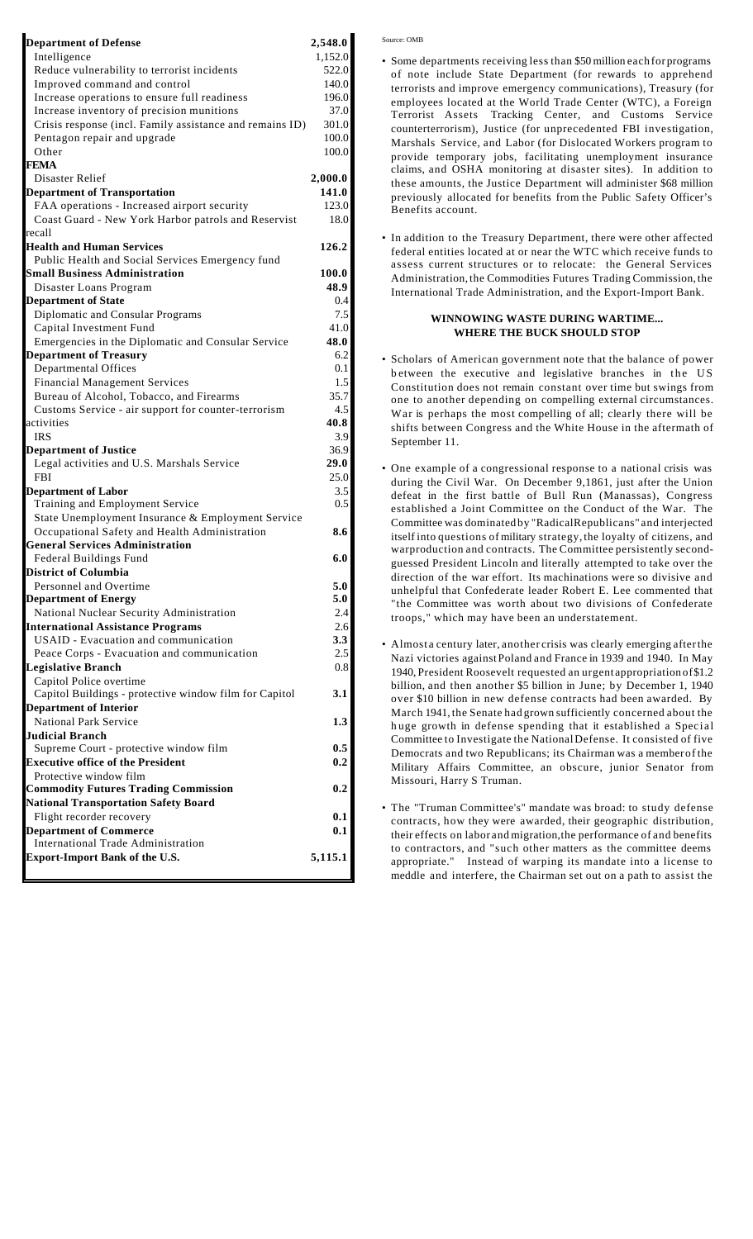| <b>Department of Defense</b>                                                      | 2,548.0     |
|-----------------------------------------------------------------------------------|-------------|
| Intelligence                                                                      | 1,152.0     |
| Reduce vulnerability to terrorist incidents                                       | 522.0       |
| Improved command and control                                                      | 140.0       |
| Increase operations to ensure full readiness                                      | 196.0       |
| Increase inventory of precision munitions                                         | 37.0        |
| Crisis response (incl. Family assistance and remains ID)                          | 301.0       |
| Pentagon repair and upgrade                                                       | 100.0       |
| Other<br><b>FEMA</b>                                                              | 100.0       |
| Disaster Relief                                                                   | 2,000.0     |
| <b>Department of Transportation</b>                                               | 141.0       |
| FAA operations - Increased airport security                                       | 123.0       |
| Coast Guard - New York Harbor patrols and Reservist                               | 18.0        |
| recall                                                                            |             |
| Health and Human Services                                                         | 126.2       |
| Public Health and Social Services Emergency fund                                  |             |
| <b>Small Business Administration</b>                                              | 100.0       |
| Disaster Loans Program                                                            | 48.9        |
| <b>Department of State</b>                                                        | 0.4         |
| Diplomatic and Consular Programs                                                  | 7.5         |
| Capital Investment Fund                                                           | 41.0        |
| Emergencies in the Diplomatic and Consular Service                                | 48.0        |
| <b>Department of Treasury</b>                                                     | 6.2         |
| <b>Departmental Offices</b>                                                       | 0.1         |
| <b>Financial Management Services</b>                                              | 1.5         |
| Bureau of Alcohol, Tobacco, and Firearms                                          | 35.7<br>4.5 |
| Customs Service - air support for counter-terrorism<br>activities                 | 40.8        |
| <b>IRS</b>                                                                        | 3.9         |
| <b>Department of Justice</b>                                                      | 36.9        |
| Legal activities and U.S. Marshals Service                                        | <b>29.0</b> |
| <b>FBI</b>                                                                        | 25.0        |
| <b>Department of Labor</b>                                                        | 3.5         |
| Training and Employment Service                                                   | 0.5         |
| State Unemployment Insurance & Employment Service                                 |             |
| Occupational Safety and Health Administration                                     | 8.6         |
| <b>General Services Administration</b>                                            |             |
| Federal Buildings Fund                                                            | 6.0         |
| <b>District of Columbia</b>                                                       |             |
| Personnel and Overtime                                                            | 5.0         |
| <b>Department of Energy</b>                                                       | 5.0         |
| National Nuclear Security Administration                                          | 2.4         |
| <b>International Assistance Programs</b>                                          | 2.6         |
| USAID - Evacuation and communication                                              | 3.3         |
| Peace Corps - Evacuation and communication                                        | 2.5         |
| <b>Legislative Branch</b>                                                         | 0.8         |
| Capitol Police overtime<br>Capitol Buildings - protective window film for Capitol | 3.1         |
| <b>Department of Interior</b>                                                     |             |
| <b>National Park Service</b>                                                      | 1.3         |
| <b>Judicial Branch</b>                                                            |             |
| Supreme Court - protective window film                                            | 0.5         |
| <b>Executive office of the President</b>                                          | 0.2         |
| Protective window film                                                            |             |
| <b>Commodity Futures Trading Commission</b>                                       | 0.2         |
| <b>National Transportation Safety Board</b>                                       |             |
| Flight recorder recovery                                                          | 0.1         |
| <b>Department of Commerce</b>                                                     | 0.1         |
| <b>International Trade Administration</b>                                         |             |
| <b>Export-Import Bank of the U.S.</b>                                             | 5,115.1     |
|                                                                                   |             |

Source: OMB

- Some departments receiving less than \$50 million each for programs of note include State Department (for rewards to apprehend terrorists and improve emergency communications), Treasury (for employees located at the World Trade Center (WTC), a Foreign Terrorist Assets Tracking Center, and Customs Service counterterrorism), Justice (for unprecedented FBI investigation, Marshals Service, and Labor (for Dislocated Workers program to provide temporary jobs, facilitating unemployment insurance claims, and OSHA monitoring at disaster sites). In addition to these amounts, the Justice Department will administer \$68 million previously allocated for benefits from the Public Safety Officer's Benefits account.
- In addition to the Treasury Department, there were other affected federal entities located at or near the WTC which receive funds to assess current structures or to relocate: the General Services Administration,the Commodities Futures Trading Commission,the International Trade Administration, and the Export-Import Bank.

### **WINNOWING WASTE DURING WARTIME... WHERE THE BUCK SHOULD STOP**

- Scholars of American government note that the balance of power b etween the executive and legislative branches in the US Constitution does not remain constant over time but swings from one to another depending on compelling external circumstances. War is perhaps the most compelling of all; clearly there will be shifts between Congress and the White House in the aftermath of September 11.
- One example of a congressional response to a national crisis was during the Civil War. On December 9,1861, just after the Union defeat in the first battle of Bull Run (Manassas), Congress established a Joint Committee on the Conduct of the War. The Committee was dominated by "RadicalRepublicans" and interjected itself into questions of military strategy, the loyalty of citizens, and warproduction and contracts. The Committee persistently secondguessed President Lincoln and literally attempted to take over the direction of the war effort. Its machinations were so divisive and unhelpful that Confederate leader Robert E. Lee commented that "the Committee was worth about two divisions of Confederate troops," which may have been an understatement.
- Almost a century later, another crisis was clearly emerging afterthe Nazi victories againstPoland and France in 1939 and 1940. In May 1940, President Roosevelt requested an urgent appropriation of\$1.2 billion, and then another \$5 billion in June; by December 1, 1940 over \$10 billion in new defense contracts had been awarded. By March 1941, the Senate had grown sufficiently concerned about the h uge growth in defense spending that it established a Special Committee to Investigate the NationalDefense. It consisted of five Democrats and two Republicans; its Chairman was a memberof the Military Affairs Committee, an obscure, junior Senator from Missouri, Harry S Truman.
- The "Truman Committee's" mandate was broad: to study defense contracts, how they were awarded, their geographic distribution, their effects on labor and migration,the performance of and benefits to contractors, and "such other matters as the committee deems appropriate." Instead of warping its mandate into a license to meddle and interfere, the Chairman set out on a path to assist the